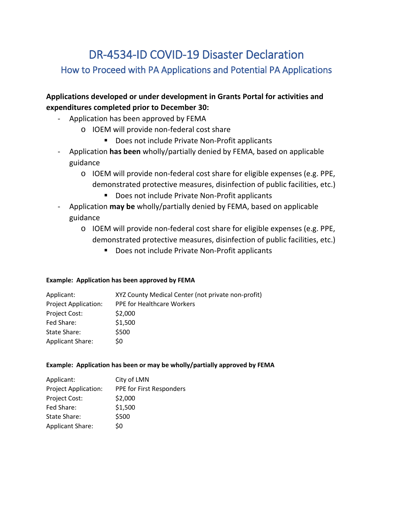# DR-4534-ID COVID-19 Disaster Declaration How to Proceed with PA Applications and Potential PA Applications

# **Applications developed or under development in Grants Portal for activities and expenditures completed prior to December 30:**

- Application has been approved by FEMA
	- o IOEM will provide non-federal cost share
		- Does not include Private Non-Profit applicants
- Application **has been** wholly/partially denied by FEMA, based on applicable guidance
	- o IOEM will provide non-federal cost share for eligible expenses (e.g. PPE, demonstrated protective measures, disinfection of public facilities, etc.)
		- Does not include Private Non-Profit applicants
- Application **may be** wholly/partially denied by FEMA, based on applicable guidance
	- o IOEM will provide non-federal cost share for eligible expenses (e.g. PPE, demonstrated protective measures, disinfection of public facilities, etc.)
		- **Does not include Private Non-Profit applicants**

### **Example: Application has been approved by FEMA**

| Applicant:                  | XYZ County Medical Center (not private non-profit) |
|-----------------------------|----------------------------------------------------|
| <b>Project Application:</b> | <b>PPE for Healthcare Workers</b>                  |
| Project Cost:               | \$2,000                                            |
| Fed Share:                  | \$1,500                                            |
| State Share:                | \$500                                              |
| <b>Applicant Share:</b>     | S0                                                 |

## **Example: Application has been or may be wholly/partially approved by FEMA**

| Applicant:                  | City of LMN              |
|-----------------------------|--------------------------|
| <b>Project Application:</b> | PPE for First Responders |
| Project Cost:               | \$2,000                  |
| Fed Share:                  | \$1,500                  |
| State Share:                | \$500                    |
| <b>Applicant Share:</b>     | \$0                      |